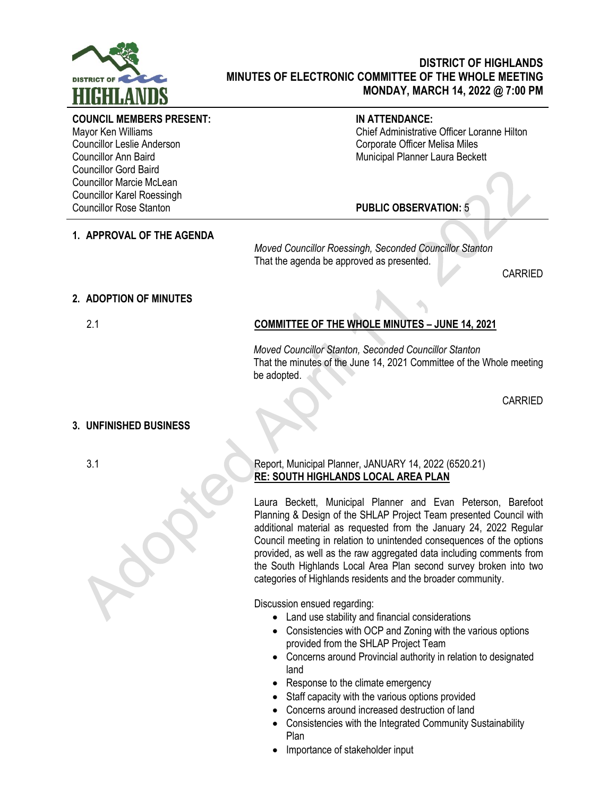

# **DISTRICT OF HIGHLANDS MINUTES OF ELECTRONIC COMMITTEE OF THE WHOLE MEETING MONDAY, MARCH 14, 2022 @ 7:00 PM**

#### **COUNCIL MEMBERS PRESENT:**

Mayor Ken Williams Councillor Leslie Anderson Councillor Ann Baird Councillor Gord Baird Councillor Marcie McLean Councillor Karel Roessingh Councillor Rose Stanton

### **IN ATTENDANCE:**

Chief Administrative Officer Loranne Hilton Corporate Officer Melisa Miles Municipal Planner Laura Beckett

# **PUBLIC OBSERVATION:** 5

**1. APPROVAL OF THE AGENDA**

*Moved Councillor Roessingh, Seconded Councillor Stanton* That the agenda be approved as presented.

CARRIED

## **2. ADOPTION OF MINUTES**

# 2.1 **COMMITTEE OF THE WHOLE MINUTES – JUNE 14, 2021**

*Moved Councillor Stanton, Seconded Councillor Stanton* That the minutes of the June 14, 2021 Committee of the Whole meeting be adopted.

CARRIED

#### **3. UNFINISHED BUSINESS**

### 3.1 Report, Municipal Planner, JANUARY 14, 2022 (6520.21) **RE: SOUTH HIGHLANDS LOCAL AREA PLAN**

Laura Beckett, Municipal Planner and Evan Peterson, Barefoot Planning & Design of the SHLAP Project Team presented Council with additional material as requested from the January 24, 2022 Regular Council meeting in relation to unintended consequences of the options provided, as well as the raw aggregated data including comments from the South Highlands Local Area Plan second survey broken into two categories of Highlands residents and the broader community.

Discussion ensued regarding:

- Land use stability and financial considerations
- Consistencies with OCP and Zoning with the various options provided from the SHLAP Project Team
- Concerns around Provincial authority in relation to designated land
- Response to the climate emergency
- Staff capacity with the various options provided
- Concerns around increased destruction of land
- Consistencies with the Integrated Community Sustainability Plan
- Importance of stakeholder input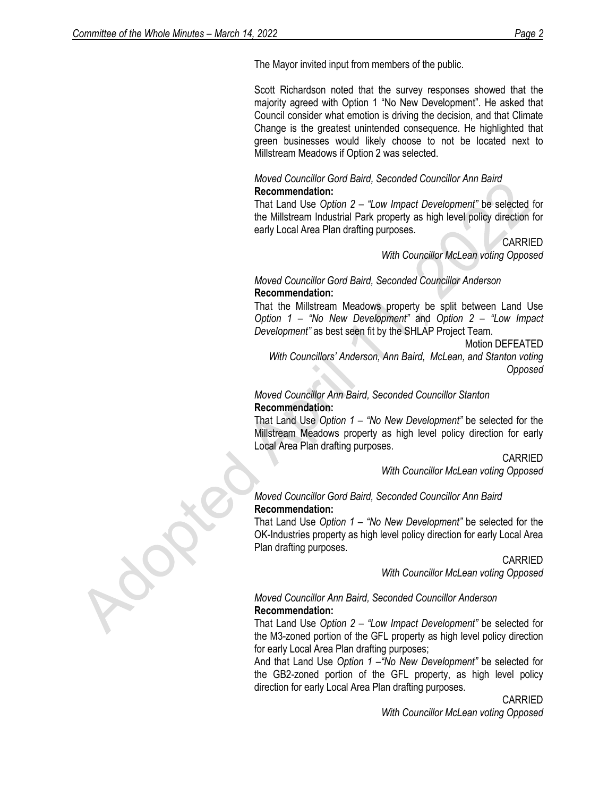The Mayor invited input from members of the public.

Scott Richardson noted that the survey responses showed that the majority agreed with Option 1 "No New Development". He asked that Council consider what emotion is driving the decision, and that Climate Change is the greatest unintended consequence. He highlighted that green businesses would likely choose to not be located next to Millstream Meadows if Option 2 was selected.

### *Moved Councillor Gord Baird, Seconded Councillor Ann Baird* **Recommendation:**

That Land Use *Option 2 – "Low Impact Development"* be selected for the Millstream Industrial Park property as high level policy direction for early Local Area Plan drafting purposes.

> CARRIED *With Councillor McLean voting Opposed*

## *Moved Councillor Gord Baird, Seconded Councillor Anderson* **Recommendation:**

That the Millstream Meadows property be split between Land Use *Option 1 – "No New Development"* and *Option 2 – "Low Impact Development"* as best seen fit by the SHLAP Project Team.

Motion DEFEATED

*With Councillors' Anderson, Ann Baird, McLean, and Stanton voting Opposed*

# *Moved Councillor Ann Baird, Seconded Councillor Stanton* **Recommendation:**

That Land Use *Option 1 – "No New Development"* be selected for the Millstream Meadows property as high level policy direction for early Local Area Plan drafting purposes.

CARRIED

*With Councillor McLean voting Opposed*

## *Moved Councillor Gord Baird, Seconded Councillor Ann Baird* **Recommendation:**

That Land Use *Option 1 – "No New Development"* be selected for the OK-Industries property as high level policy direction for early Local Area Plan drafting purposes.

> CARRIED *With Councillor McLean voting Opposed*

#### *Moved Councillor Ann Baird, Seconded Councillor Anderson* **Recommendation:**

That Land Use *Option 2 – "Low Impact Development"* be selected for the M3-zoned portion of the GFL property as high level policy direction for early Local Area Plan drafting purposes;

And that Land Use *Option 1 –"No New Development"* be selected for the GB2-zoned portion of the GFL property, as high level policy direction for early Local Area Plan drafting purposes.

CARRIED

*With Councillor McLean voting Opposed*